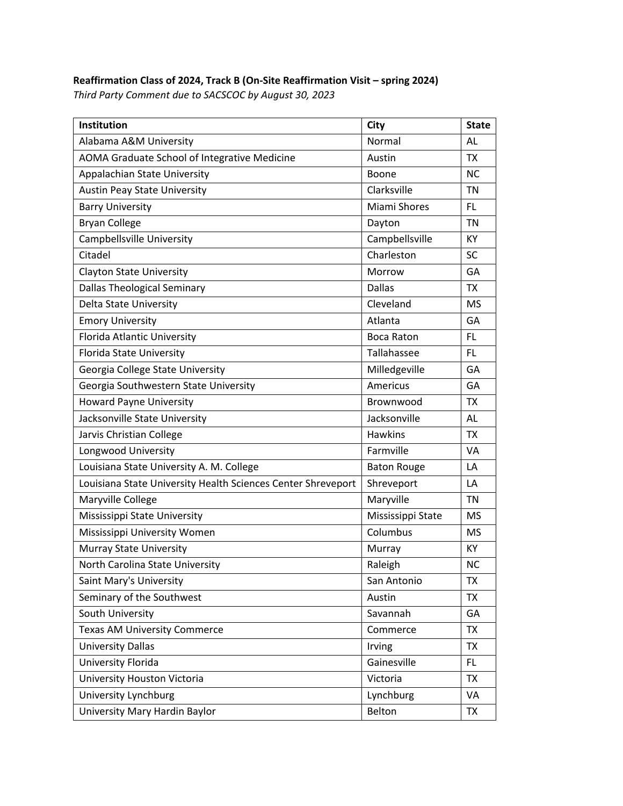## **Reaffirmation Class of 2024, Track B (On‐Site Reaffirmation Visit – spring 2024)**

*Third Party Comment due to SACSCOC by August 30, 2023*

| Institution                                                  | <b>City</b>        | <b>State</b> |
|--------------------------------------------------------------|--------------------|--------------|
| Alabama A&M University                                       | Normal             | AL           |
| AOMA Graduate School of Integrative Medicine                 | Austin             | <b>TX</b>    |
| <b>Appalachian State University</b>                          | Boone              | NC.          |
| <b>Austin Peay State University</b>                          | Clarksville        | <b>TN</b>    |
| <b>Barry University</b>                                      | Miami Shores       | FL           |
| <b>Bryan College</b>                                         | Dayton             | <b>TN</b>    |
| <b>Campbellsville University</b>                             | Campbellsville     | KY           |
| Citadel                                                      | Charleston         | SC           |
| <b>Clayton State University</b>                              | Morrow             | GA           |
| <b>Dallas Theological Seminary</b>                           | <b>Dallas</b>      | <b>TX</b>    |
| Delta State University                                       | Cleveland          | <b>MS</b>    |
| <b>Emory University</b>                                      | Atlanta            | GA           |
| Florida Atlantic University                                  | <b>Boca Raton</b>  | FL           |
| Florida State University                                     | Tallahassee        | FL           |
| Georgia College State University                             | Milledgeville      | GA           |
| Georgia Southwestern State University                        | Americus           | GA           |
| <b>Howard Payne University</b>                               | Brownwood          | <b>TX</b>    |
| Jacksonville State University                                | Jacksonville       | AL           |
| Jarvis Christian College                                     | <b>Hawkins</b>     | <b>TX</b>    |
| Longwood University                                          | Farmville          | <b>VA</b>    |
| Louisiana State University A. M. College                     | <b>Baton Rouge</b> | LA           |
| Louisiana State University Health Sciences Center Shreveport | Shreveport         | LA           |
| Maryville College                                            | Maryville          | <b>TN</b>    |
| Mississippi State University                                 | Mississippi State  | MS           |
| Mississippi University Women                                 | Columbus           | <b>MS</b>    |
| Murray State University                                      | Murray             | КY           |
| North Carolina State University                              | Raleigh            | ΝC           |
| Saint Mary's University                                      | San Antonio        | <b>TX</b>    |
| Seminary of the Southwest                                    | Austin             | <b>TX</b>    |
| South University                                             | Savannah           | GA           |
| <b>Texas AM University Commerce</b>                          | Commerce           | <b>TX</b>    |
| <b>University Dallas</b>                                     | Irving             | <b>TX</b>    |
| University Florida                                           | Gainesville        | FL           |
| University Houston Victoria                                  | Victoria           | <b>TX</b>    |
| University Lynchburg                                         | Lynchburg          | VA           |
| University Mary Hardin Baylor                                | Belton             | TX           |